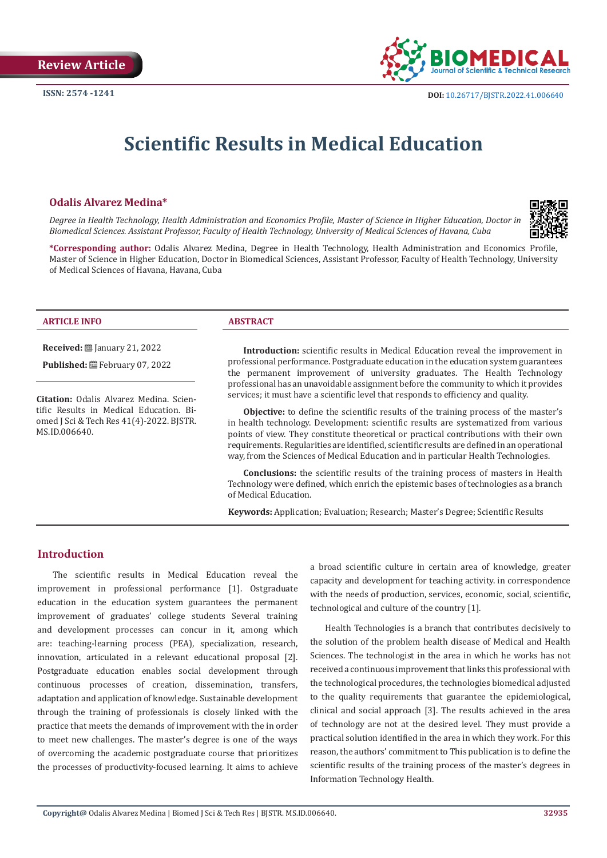

# **Scientific Results in Medical Education**

# **Odalis Alvarez Medina\***

*Degree in Health Technology, Health Administration and Economics Profile, Master of Science in Higher Education, Doctor in Biomedical Sciences. Assistant Professor, Faculty of Health Technology, University of Medical Sciences of Havana, Cuba*



**\*Corresponding author:** Odalis Alvarez Medina, Degree in Health Technology, Health Administration and Economics Profile, Master of Science in Higher Education, Doctor in Biomedical Sciences, Assistant Professor, Faculty of Health Technology, University of Medical Sciences of Havana, Havana, Cuba

### **ARTICLE INFO ABSTRACT**

**Received:** January 21, 2022

Published: **曲 February 07, 2022** 

**Citation:** Odalis Alvarez Medina. Scientific Results in Medical Education. Biomed J Sci & Tech Res 41(4)-2022. BJSTR. MS.ID.006640.

**Introduction:** scientific results in Medical Education reveal the improvement in professional performance. Postgraduate education in the education system guarantees the permanent improvement of university graduates. The Health Technology professional has an unavoidable assignment before the community to which it provides services; it must have a scientific level that responds to efficiency and quality.

**Objective:** to define the scientific results of the training process of the master's in health technology. Development: scientific results are systematized from various points of view. They constitute theoretical or practical contributions with their own requirements. Regularities are identified, scientific results are defined in an operational way, from the Sciences of Medical Education and in particular Health Technologies.

**Conclusions:** the scientific results of the training process of masters in Health Technology were defined, which enrich the epistemic bases of technologies as a branch of Medical Education.

**Keywords:** Application; Evaluation; Research; Master's Degree; Scientific Results

# **Introduction**

The scientific results in Medical Education reveal the improvement in professional performance [1]. Ostgraduate education in the education system guarantees the permanent improvement of graduates' college students Several training and development processes can concur in it, among which are: teaching-learning process (PEA), specialization, research, innovation, articulated in a relevant educational proposal [2]. Postgraduate education enables social development through continuous processes of creation, dissemination, transfers, adaptation and application of knowledge. Sustainable development through the training of professionals is closely linked with the practice that meets the demands of improvement with the in order to meet new challenges. The master's degree is one of the ways of overcoming the academic postgraduate course that prioritizes the processes of productivity-focused learning. It aims to achieve

a broad scientific culture in certain area of knowledge, greater capacity and development for teaching activity. in correspondence with the needs of production, services, economic, social, scientific, technological and culture of the country [1].

Health Technologies is a branch that contributes decisively to the solution of the problem health disease of Medical and Health Sciences. The technologist in the area in which he works has not received a continuous improvement that links this professional with the technological procedures, the technologies biomedical adjusted to the quality requirements that guarantee the epidemiological, clinical and social approach [3]. The results achieved in the area of technology are not at the desired level. They must provide a practical solution identified in the area in which they work. For this reason, the authors' commitment to This publication is to define the scientific results of the training process of the master's degrees in Information Technology Health.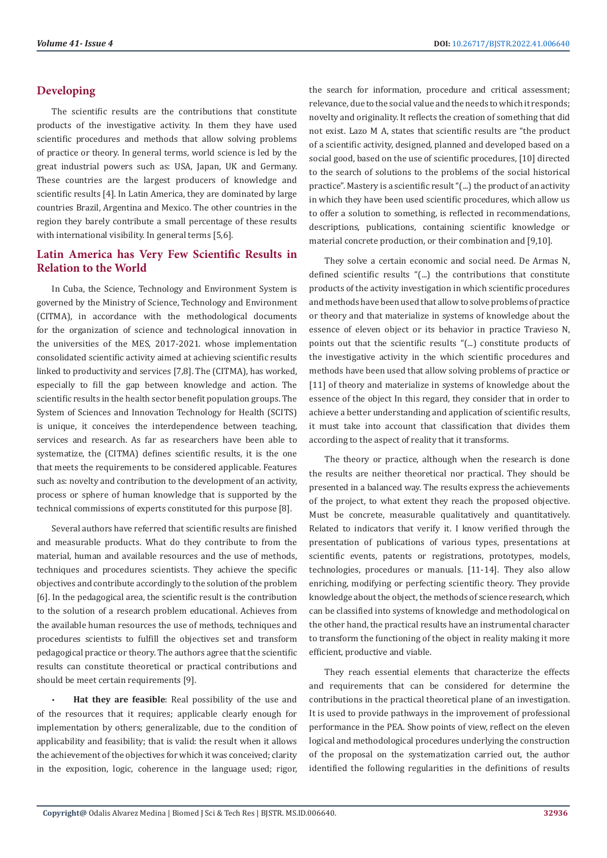# **Developing**

The scientific results are the contributions that constitute products of the investigative activity. In them they have used scientific procedures and methods that allow solving problems of practice or theory. In general terms, world science is led by the great industrial powers such as: USA, Japan, UK and Germany. These countries are the largest producers of knowledge and scientific results [4]. In Latin America, they are dominated by large countries Brazil, Argentina and Mexico. The other countries in the region they barely contribute a small percentage of these results with international visibility. In general terms [5,6].

# **Latin America has Very Few Scientific Results in Relation to the World**

In Cuba, the Science, Technology and Environment System is governed by the Ministry of Science, Technology and Environment (CITMA), in accordance with the methodological documents for the organization of science and technological innovation in the universities of the MES, 2017-2021. whose implementation consolidated scientific activity aimed at achieving scientific results linked to productivity and services [7,8]. The (CITMA), has worked, especially to fill the gap between knowledge and action. The scientific results in the health sector benefit population groups. The System of Sciences and Innovation Technology for Health (SCITS) is unique, it conceives the interdependence between teaching, services and research. As far as researchers have been able to systematize, the (CITMA) defines scientific results, it is the one that meets the requirements to be considered applicable. Features such as: novelty and contribution to the development of an activity, process or sphere of human knowledge that is supported by the technical commissions of experts constituted for this purpose [8].

Several authors have referred that scientific results are finished and measurable products. What do they contribute to from the material, human and available resources and the use of methods, techniques and procedures scientists. They achieve the specific objectives and contribute accordingly to the solution of the problem [6]. In the pedagogical area, the scientific result is the contribution to the solution of a research problem educational. Achieves from the available human resources the use of methods, techniques and procedures scientists to fulfill the objectives set and transform pedagogical practice or theory. The authors agree that the scientific results can constitute theoretical or practical contributions and should be meet certain requirements [9].

• **Hat they are feasible**: Real possibility of the use and of the resources that it requires; applicable clearly enough for implementation by others; generalizable, due to the condition of applicability and feasibility; that is valid: the result when it allows the achievement of the objectives for which it was conceived; clarity in the exposition, logic, coherence in the language used; rigor, the search for information, procedure and critical assessment; relevance, due to the social value and the needs to which it responds; novelty and originality. It reflects the creation of something that did not exist. Lazo M A, states that scientific results are "the product of a scientific activity, designed, planned and developed based on a social good, based on the use of scientific procedures, [10] directed to the search of solutions to the problems of the social historical practice". Mastery is a scientific result "(...) the product of an activity in which they have been used scientific procedures, which allow us to offer a solution to something, is reflected in recommendations, descriptions, publications, containing scientific knowledge or material concrete production, or their combination and [9,10].

They solve a certain economic and social need. De Armas N, defined scientific results "(...) the contributions that constitute products of the activity investigation in which scientific procedures and methods have been used that allow to solve problems of practice or theory and that materialize in systems of knowledge about the essence of eleven object or its behavior in practice Travieso N, points out that the scientific results "(...) constitute products of the investigative activity in the which scientific procedures and methods have been used that allow solving problems of practice or [11] of theory and materialize in systems of knowledge about the essence of the object In this regard, they consider that in order to achieve a better understanding and application of scientific results, it must take into account that classification that divides them according to the aspect of reality that it transforms.

The theory or practice, although when the research is done the results are neither theoretical nor practical. They should be presented in a balanced way. The results express the achievements of the project, to what extent they reach the proposed objective. Must be concrete, measurable qualitatively and quantitatively. Related to indicators that verify it. I know verified through the presentation of publications of various types, presentations at scientific events, patents or registrations, prototypes, models, technologies, procedures or manuals. [11-14]. They also allow enriching, modifying or perfecting scientific theory. They provide knowledge about the object, the methods of science research, which can be classified into systems of knowledge and methodological on the other hand, the practical results have an instrumental character to transform the functioning of the object in reality making it more efficient, productive and viable.

They reach essential elements that characterize the effects and requirements that can be considered for determine the contributions in the practical theoretical plane of an investigation. It is used to provide pathways in the improvement of professional performance in the PEA. Show points of view, reflect on the eleven logical and methodological procedures underlying the construction of the proposal on the systematization carried out, the author identified the following regularities in the definitions of results